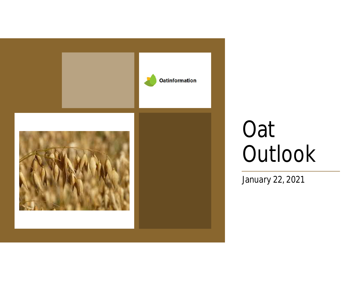

# Oat **Outlook**

January 22, 2021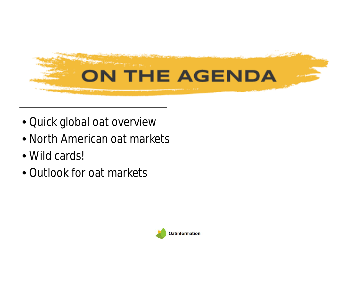

- Quick global oat overview
- North American oat markets
- Wild cards!
- Outlook for oat markets

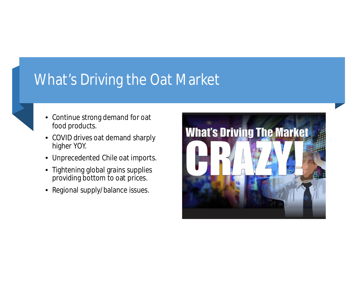#### What's Driving the Oat Market

- Continue strong demand for oat food products.
- COVID drives oat demand sharply higher YOY.
- Unprecedented Chile oat imports.
- Tightening global grains supplies providing bottom to oat prices.
- Regional supply/balance issues.

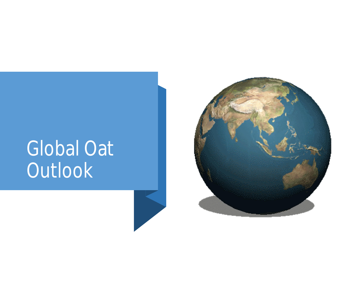# Global Oat **Outlook**

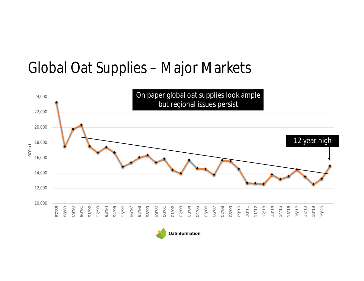#### Global Oat Supplies – Major Markets



![](_page_4_Picture_2.jpeg)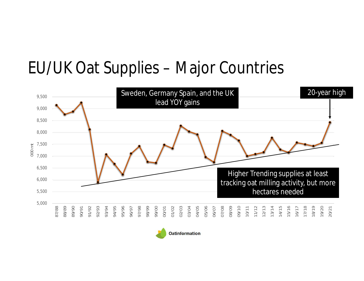## EU/UK Oat Supplies – Major Countries

![](_page_5_Figure_1.jpeg)

![](_page_5_Picture_2.jpeg)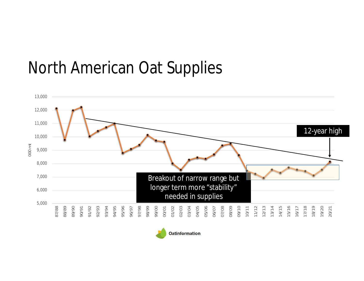#### North American Oat Supplies

![](_page_6_Figure_1.jpeg)

![](_page_6_Picture_2.jpeg)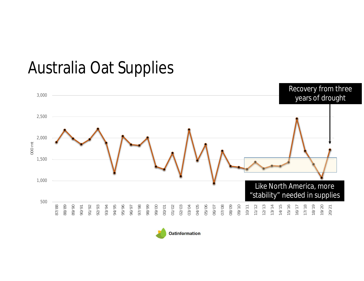## Australia Oat Supplies

![](_page_7_Figure_1.jpeg)

![](_page_7_Picture_2.jpeg)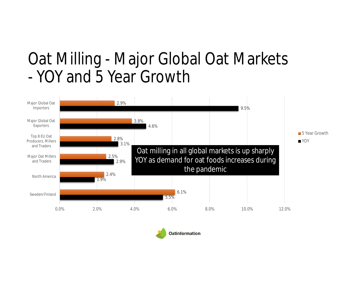#### Oat Milling - Major Global Oat Markets - YOY and 5 Year Growth

![](_page_8_Figure_1.jpeg)

![](_page_8_Picture_2.jpeg)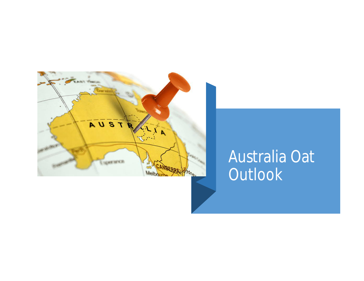![](_page_9_Picture_0.jpeg)

### Australia Oat **Outlook**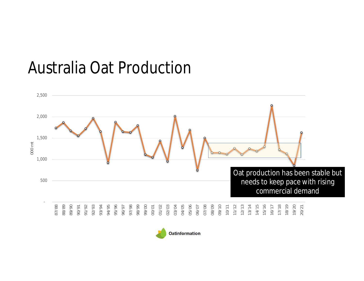### Australia Oat Production

![](_page_10_Figure_1.jpeg)

![](_page_10_Picture_2.jpeg)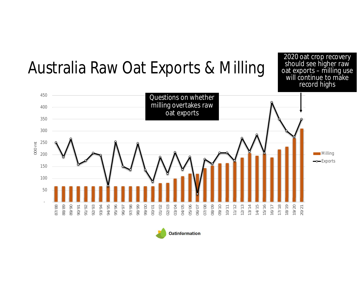# Australia Raw Oat Exports & Milling

2020 oat crop recovery should see higher raw oat exports – milling use will continue to make record highs

![](_page_11_Figure_2.jpeg)

![](_page_11_Picture_3.jpeg)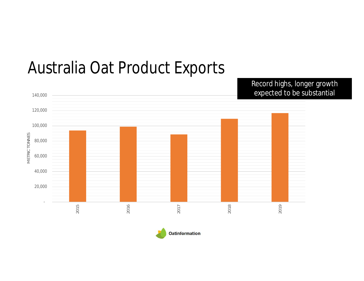![](_page_12_Figure_0.jpeg)

#### Australia Oat Product Exports

**Oatinformation**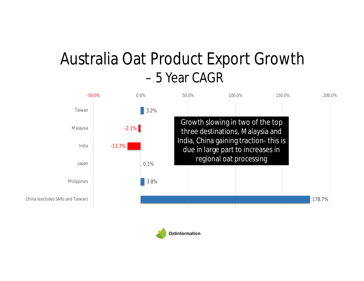#### Australia Oat Product Export Growth – 5 Year CAGR

![](_page_13_Figure_1.jpeg)

![](_page_13_Picture_2.jpeg)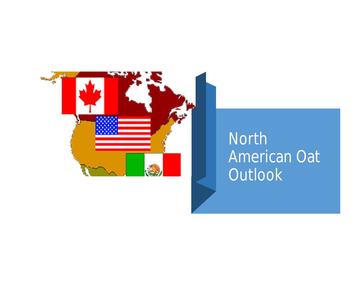![](_page_14_Picture_0.jpeg)

## North American Oat **Outlook**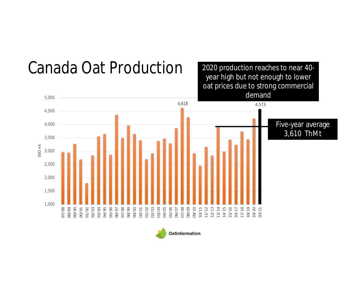![](_page_15_Figure_0.jpeg)

![](_page_15_Picture_1.jpeg)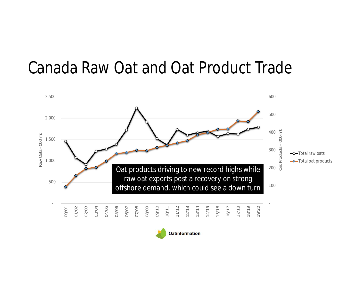#### Canada Raw Oat and Oat Product Trade

![](_page_16_Figure_1.jpeg)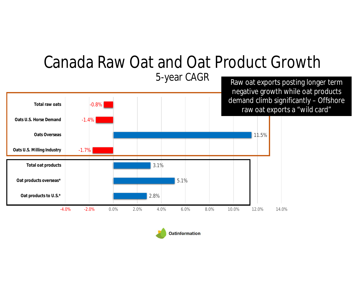![](_page_17_Figure_0.jpeg)

![](_page_17_Picture_1.jpeg)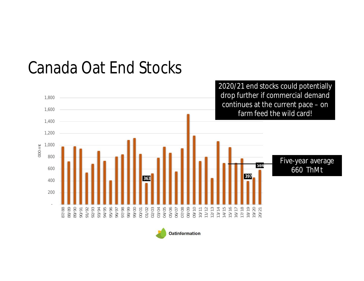![](_page_18_Figure_0.jpeg)

#### Canada Oat End Stocks

![](_page_18_Picture_2.jpeg)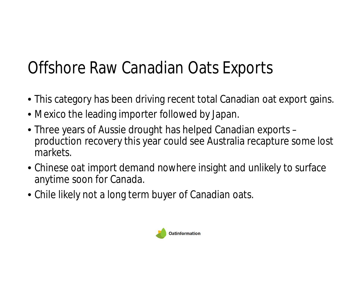# Offshore Raw Canadian Oats Exports

- This category has been driving recent total Canadian oat export gains.
- Mexico the leading importer followed by Japan.
- Three years of Aussie drought has helped Canadian exports production recovery this year could see Australia recapture some lost markets.
- Chinese oat import demand nowhere insight and unlikely to surface anytime soon for Canada.
- Chile likely not a long term buyer of Canadian oats.

![](_page_19_Picture_6.jpeg)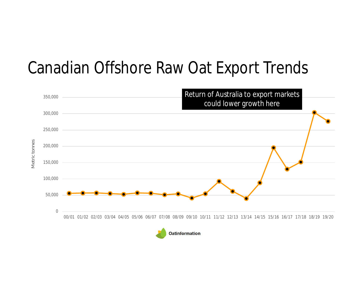## Canadian Offshore Raw Oat Export Trends

![](_page_20_Figure_1.jpeg)

![](_page_20_Picture_2.jpeg)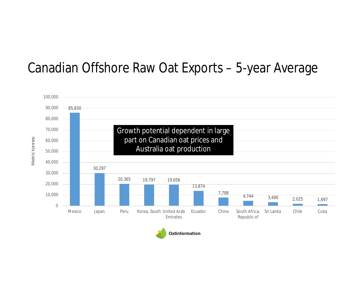#### Canadian Offshore Raw Oat Exports – 5-year Average

![](_page_21_Figure_1.jpeg)

![](_page_21_Picture_2.jpeg)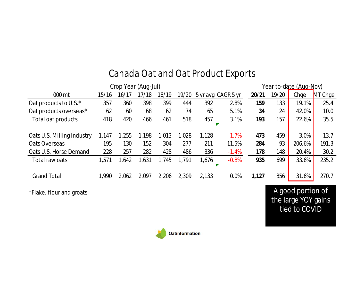| Crop Year (Aug-Jul) |       |       |       |       |       |         |                    |       | Year to-date (Aug-Nov) |         |  |  |
|---------------------|-------|-------|-------|-------|-------|---------|--------------------|-------|------------------------|---------|--|--|
| 15/16               | 16/17 | 17/18 | 18/19 | 19/20 |       |         | 20/21              | 19/20 | Chge                   | MT Chge |  |  |
| 357                 | 360   | 398   | 399   | 444   | 392   | 2.8%    | 159                | 133   | 19.1%                  | 25.4    |  |  |
| 62                  | 60    | 68    | 62    | 74    | 65    | 5.1%    | 34                 | 24    | 42.0%                  | 10.0    |  |  |
| 418                 | 420   | 466   | 461   | 518   | 457   | 3.1%    | 193                | 157   | 22.6%                  | 35.5    |  |  |
|                     |       |       |       |       |       |         |                    |       |                        |         |  |  |
| 1,147               | 1,255 | 1,198 | 1,013 | 1,028 | 1,128 | $-1.7%$ | 473                | 459   | 3.0%                   | 13.7    |  |  |
| 195                 | 130   | 152   | 304   | 277   | 211   | 11.5%   | 284                | 93    | 206.6%                 | 191.3   |  |  |
| 228                 | 257   | 282   | 428   | 486   | 336   | $-1.4%$ | 178                | 148   | 20.4%                  | 30.2    |  |  |
| 1,571               | ,642  | ,631  | 1,745 | 1,791 | 1,676 | $-0.8%$ | 935                | 699   | 33.6%                  | 235.2   |  |  |
|                     |       |       |       |       |       |         |                    |       |                        |         |  |  |
| 1,990               | 2,062 | 2,097 | 2,206 | 2,309 | 2,133 | 0.0%    | 1,127              | 856   | 31.6%                  | 270.7   |  |  |
|                     |       |       |       |       |       |         | 5 yr avg CAGR 5 yr |       |                        |         |  |  |

#### Canada Oat and Oat Product Exports

\*Flake, flour and groats A good portion of the large YOY gains tied to COVID

![](_page_22_Picture_4.jpeg)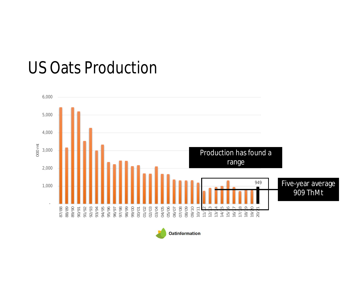## US Oats Production

![](_page_23_Figure_1.jpeg)

![](_page_23_Picture_2.jpeg)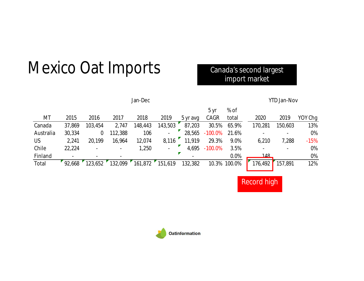## Mexico Oat Imports

#### Canada's second largest import market

|           |        |         |                          | Jan-Dec |                |          | YTD Jan-Nov |              |                          |         |         |
|-----------|--------|---------|--------------------------|---------|----------------|----------|-------------|--------------|--------------------------|---------|---------|
|           |        |         |                          |         |                |          | 5 yr        | % of         |                          |         |         |
| MT        | 2015   | 2016    | 2017                     | 2018    | 2019           | 5 yr avg | CAGR        | total        | 2020                     | 2019    | YOY Chg |
| Canada    | 37,869 | 103,454 | 2,747                    | 148,443 | 143,503        | 87,203   | 30.5%       | 65.9%        | 170,281                  | 150,603 | 13%     |
| Australia | 30,334 | 0       | 112,388                  | 106     |                | 28,565   | $-100.0\%$  | 21.6%        | $\overline{\phantom{a}}$ |         | 0%      |
| <b>US</b> | 2,241  | 20,199  | 16,964                   | 12,074  | 8,116          | 11,919   | 29.3%       | 9.0%         | 6,210                    | 7,288   | $-15%$  |
| Chile     | 22,224 |         | $\overline{\phantom{0}}$ | 1,250   | $\blacksquare$ | 4,695    | $-100.0\%$  | 3.5%         | $\blacksquare$           |         | 0%      |
| Finland   |        |         |                          |         |                |          |             | 0.0%         | 148                      |         | 0%      |
| Total     | 92,668 | 123,652 | 132,099                  | 161,872 | 151,619        | 132,382  |             | 10.3% 100.0% | 176,492                  | 157,891 | 12%     |
|           |        |         |                          |         |                |          |             |              |                          |         |         |

Record high

Oatinformation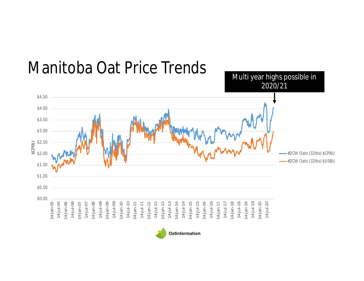![](_page_25_Figure_0.jpeg)

#### Manitoba Oat Price Trends

![](_page_25_Picture_2.jpeg)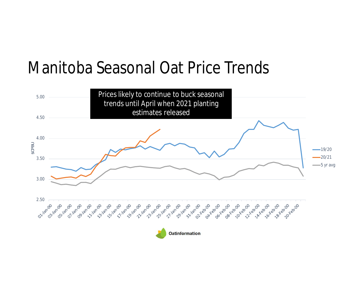#### Manitoba Seasonal Oat Price Trends

![](_page_26_Figure_1.jpeg)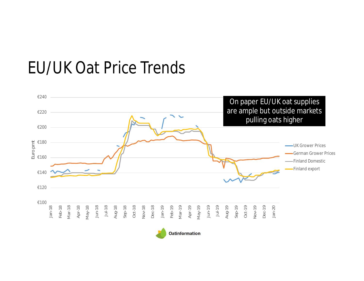#### EU/UK Oat Price Trends

![](_page_27_Figure_1.jpeg)

![](_page_27_Picture_2.jpeg)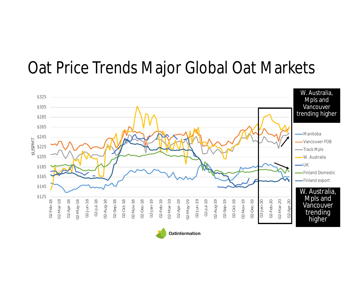#### Oat Price Trends Major Global Oat Markets

![](_page_28_Figure_1.jpeg)

![](_page_28_Picture_2.jpeg)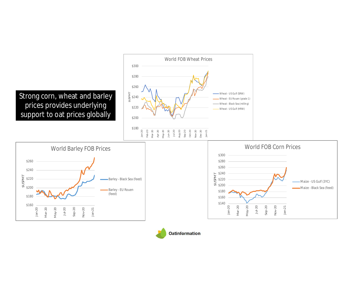![](_page_29_Figure_0.jpeg)

![](_page_29_Picture_1.jpeg)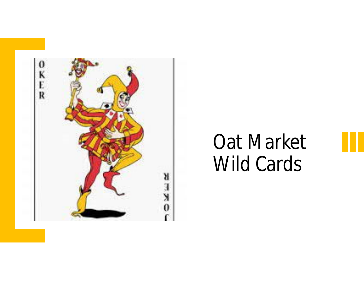![](_page_30_Picture_0.jpeg)

# Oat Market Wild Cards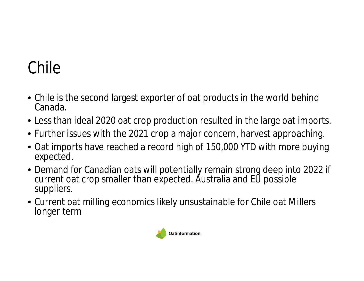# Chile

- Chile is the second largest exporter of oat products in the world behind Canada.
- Less than ideal 2020 oat crop production resulted in the large oat imports.
- Further issues with the 2021 crop a major concern, harvest approaching.
- Oat imports have reached a record high of 150,000 YTD with more buying expected.
- Demand for Canadian oats will potentially remain strong deep into 2022 if current oat crop smaller than expected. Australia and EU possible suppliers.
- Current oat milling economics likely unsustainable for Chile oat Millers longer term

![](_page_31_Picture_7.jpeg)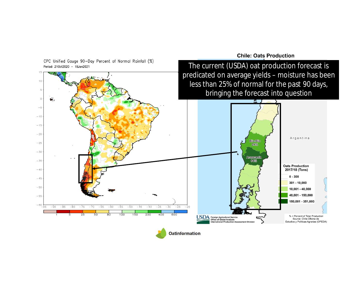![](_page_32_Figure_0.jpeg)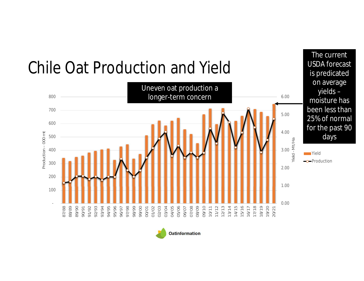![](_page_33_Figure_0.jpeg)

![](_page_33_Picture_1.jpeg)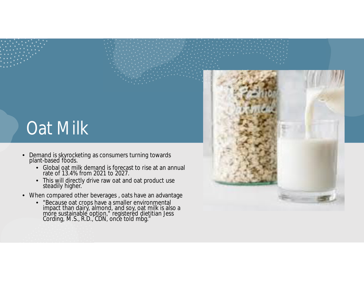# **Oat Milk**

- Demand is skyrocketing as consumers turning towards plant-based foods.
	- Global oat milk demand is forecast to rise at an annual rate of 13.4% from 2021 to 2027.
	- This will directly drive raw oat and oat product use steadily higher.
- When compared other beverages , oats have an advantage
	- "Because oat crops have a smaller environmental impact than dairy, almond, and soy, oat milk is also a more sustainable option," registered dietitian Jess Cording, M.S., R.D., CDN, once told mbg."

![](_page_34_Picture_6.jpeg)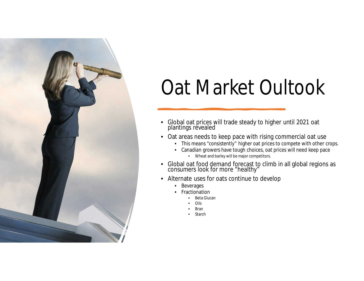![](_page_35_Picture_0.jpeg)

# Oat Market Oultook

- Global oat prices will trade steady to higher until 2021 oat plantings revealed
- Oat areas needs to keep pace with rising commercial oat use
	- This means "consistently" higher oat prices to compete with other crops.
	- Canadian growers have tough choices, oat prices will need keep pace
		- Wheat and barley will be major competitors.
- Global oat food demand forecast to climb in all global regions as consumers look for more "healthy"
- Alternate uses for oats continue to develop
	- Beverages
	- **Fractionation** 
		- Beta Glucan
		- Oils
		- Bran
		- Starch